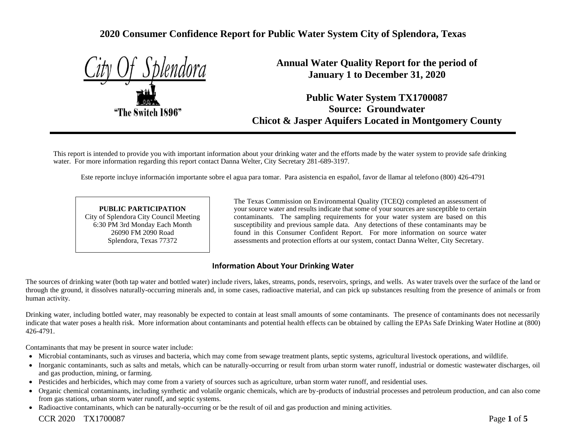# **2020 Consumer Confidence Report for Public Water System City of Splendora, Texas**

"The Switch 1896"

**Annual Water Quality Report for the period of January 1 to December 31, 2020**

**Public Water System TX1700087 Source: Groundwater Chicot & Jasper Aquifers Located in Montgomery County**

This report is intended to provide you with important information about your drinking water and the efforts made by the water system to provide safe drinking water. For more information regarding this report contact Danna Welter, City Secretary 281-689-3197.

Este reporte incluye información importante sobre el agua para tomar. Para asistencia en español, favor de llamar al telefono (800) 426-4791

#### **PUBLIC PARTICIPATION** City of Splendora City Council Meeting 6:30 PM 3rd Monday Each Month 26090 FM 2090 Road Splendora, Texas 77372

The Texas Commission on Environmental Quality (TCEQ) completed an assessment of your source water and results indicate that some of your sources are susceptible to certain contaminants. The sampling requirements for your water system are based on this susceptibility and previous sample data. Any detections of these contaminants may be found in this Consumer Confident Report. For more information on source water assessments and protection efforts at our system, contact Danna Welter, City Secretary.

## **Information About Your Drinking Water**

The sources of drinking water (both tap water and bottled water) include rivers, lakes, streams, ponds, reservoirs, springs, and wells. As water travels over the surface of the land or through the ground, it dissolves naturally-occurring minerals and, in some cases, radioactive material, and can pick up substances resulting from the presence of animals or from human activity.

Drinking water, including bottled water, may reasonably be expected to contain at least small amounts of some contaminants. The presence of contaminants does not necessarily indicate that water poses a health risk. More information about contaminants and potential health effects can be obtained by calling the EPAs Safe Drinking Water Hotline at (800) 426-4791.

Contaminants that may be present in source water include:

- Microbial contaminants, such as viruses and bacteria, which may come from sewage treatment plants, septic systems, agricultural livestock operations, and wildlife.
- Inorganic contaminants, such as salts and metals, which can be naturally-occurring or result from urban storm water runoff, industrial or domestic wastewater discharges, oil and gas production, mining, or farming.
- Pesticides and herbicides, which may come from a variety of sources such as agriculture, urban storm water runoff, and residential uses.
- Organic chemical contaminants, including synthetic and volatile organic chemicals, which are by-products of industrial processes and petroleum production, and can also come from gas stations, urban storm water runoff, and septic systems.
- Radioactive contaminants, which can be naturally-occurring or be the result of oil and gas production and mining activities.

CCR 2020 TX1700087 Page **1** of **5**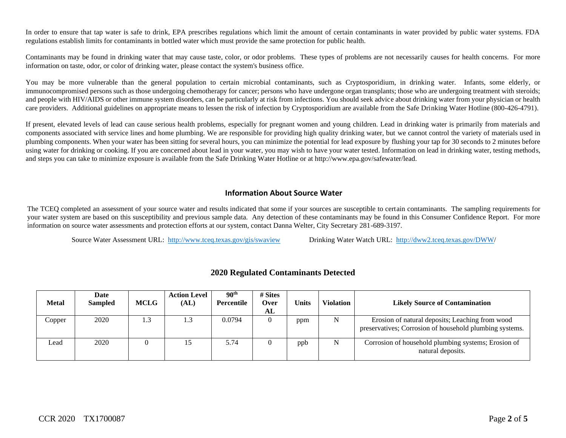In order to ensure that tap water is safe to drink, EPA prescribes regulations which limit the amount of certain contaminants in water provided by public water systems. FDA regulations establish limits for contaminants in bottled water which must provide the same protection for public health.

Contaminants may be found in drinking water that may cause taste, color, or odor problems. These types of problems are not necessarily causes for health concerns. For more information on taste, odor, or color of drinking water, please contact the system's business office.

You may be more vulnerable than the general population to certain microbial contaminants, such as Cryptosporidium, in drinking water. Infants, some elderly, or immunocompromised persons such as those undergoing chemotherapy for cancer; persons who have undergone organ transplants; those who are undergoing treatment with steroids; and people with HIV/AIDS or other immune system disorders, can be particularly at risk from infections. You should seek advice about drinking water from your physician or health care providers. Additional guidelines on appropriate means to lessen the risk of infection by Cryptosporidium are available from the Safe Drinking Water Hotline (800-426-4791).

If present, elevated levels of lead can cause serious health problems, especially for pregnant women and young children. Lead in drinking water is primarily from materials and components associated with service lines and home plumbing. We are responsible for providing high quality drinking water, but we cannot control the variety of materials used in plumbing components. When your water has been sitting for several hours, you can minimize the potential for lead exposure by flushing your tap for 30 seconds to 2 minutes before using water for drinking or cooking. If you are concerned about lead in your water, you may wish to have your water tested. Information on lead in drinking water, testing methods, and steps you can take to minimize exposure is available from the Safe Drinking Water Hotline or at http://www.epa.gov/safewater/lead.

#### **Information About Source Water**

The TCEQ completed an assessment of your source water and results indicated that some if your sources are susceptible to certain contaminants. The sampling requirements for your water system are based on this susceptibility and previous sample data. Any detection of these contaminants may be found in this Consumer Confidence Report. For more information on source water assessments and protection efforts at our system, contact Danna Welter, City Secretary 281-689-3197.

Source Water Assessment URL: <http://www.tceq.texas.gov/gis/swaview>Drinking Water Watch URL: [http://dww2.tceq.texas.gov/DWW/](http://dww2.tceq.texas.gov/DWW)

| <b>Metal</b> | Date<br><b>Sampled</b> | <b>MCLG</b> | <b>Action Level</b><br>(AL) | 90 <sup>th</sup><br>Percentile | # Sites<br>Over<br>AL | <b>Units</b> | <b>Violation</b> | <b>Likely Source of Contamination</b>                                                                      |
|--------------|------------------------|-------------|-----------------------------|--------------------------------|-----------------------|--------------|------------------|------------------------------------------------------------------------------------------------------------|
| Copper       | 2020                   | . .3        | 1.3                         | 0.0794                         |                       | ppm          | N                | Erosion of natural deposits; Leaching from wood<br>preservatives; Corrosion of household plumbing systems. |
| Lead         | 2020                   |             |                             | 5.74                           |                       | ppb          | N                | Corrosion of household plumbing systems; Erosion of<br>natural deposits.                                   |

## **2020 Regulated Contaminants Detected**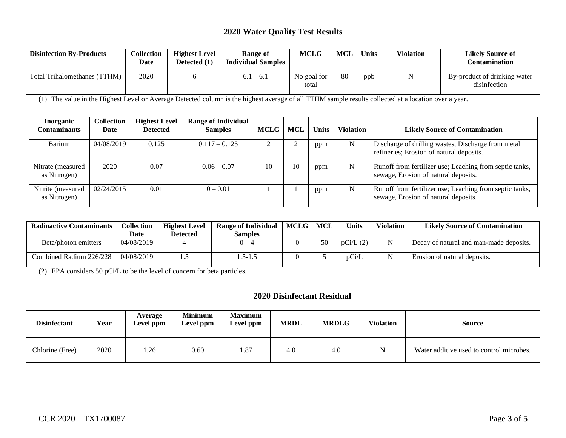#### **2020 Water Quality Test Results**

| <b>Disinfection By-Products</b>  | Collection<br>Date | <b>Highest Level</b><br>Detected (1) | Range of<br><b>Individual Samples</b> | <b>MCLG</b>          | <b>MCL</b> | <b>Units</b> | <b>Violation</b> | <b>Likely Source of</b><br>Contamination     |
|----------------------------------|--------------------|--------------------------------------|---------------------------------------|----------------------|------------|--------------|------------------|----------------------------------------------|
| Total Trihalomethanes (<br>TTHM) | 2020               |                                      | $6.1 - 6.1$                           | No goal for<br>total | 80         | ppb          |                  | By-product of drinking water<br>disinfection |

(1) The value in the Highest Level or Average Detected column is the highest average of all TTHM sample results collected at a location over a year.

| <b>Inorganic</b><br>C <b>ontaminants</b> | <b>Collection</b><br>Date | <b>Highest Level</b><br><b>Detected</b> | <b>Range of Individual</b><br><b>Samples</b> | <b>MCLG</b> | <b>MCL</b> | <b>Units</b> | <b>Violation</b> | <b>Likely Source of Contamination</b>                                                           |
|------------------------------------------|---------------------------|-----------------------------------------|----------------------------------------------|-------------|------------|--------------|------------------|-------------------------------------------------------------------------------------------------|
| Barium                                   | 04/08/2019                | 0.125                                   | $0.117 - 0.125$                              |             |            | ppm          | N                | Discharge of drilling wastes; Discharge from metal<br>refineries; Erosion of natural deposits.  |
| Nitrate (measured)<br>as Nitrogen)       | 2020                      | 0.07                                    | $0.06 - 0.07$                                | 10          | 10         | ppm          | N                | Runoff from fertilizer use; Leaching from septic tanks,<br>sewage, Erosion of natural deposits. |
| Nitrite (measured)<br>as Nitrogen)       | 02/24/2015                | 0.01                                    | $0 - 0.01$                                   |             |            | ppm          | N                | Runoff from fertilizer use; Leaching from septic tanks,<br>sewage, Erosion of natural deposits. |

| <b>Radioactive Contaminants</b> | <b>Collection</b> | <b>Highest Level</b> | <b>Range of Individual</b> | MCLG | MCL | <b>Units</b>             | <b>Violation</b> | <b>Likely Source of Contamination</b>   |
|---------------------------------|-------------------|----------------------|----------------------------|------|-----|--------------------------|------------------|-----------------------------------------|
|                                 | Date              | Detected             | Samples                    |      |     |                          |                  |                                         |
| Beta/photon emitters            | 04/08/2019        |                      | $0 - 4$                    |      | 50  | $\text{pCi}/\text{L}(2)$ |                  | Decay of natural and man-made deposits. |
| Combined Radium 226/228         | 04/08/2019        |                      | 1.5-1.5                    |      |     | pCi/L                    |                  | Erosion of natural deposits.            |

(2) EPA considers 50 pCi/L to be the level of concern for beta particles.

## **2020 Disinfectant Residual**

| <b>Disinfectant</b> | Year | Average<br>Level ppm | <b>Minimum</b><br>Level ppm | <b>Maximum</b><br>Level ppm | <b>MRDL</b> | <b>MRDLG</b> | <b>Violation</b> | <b>Source</b>                            |
|---------------------|------|----------------------|-----------------------------|-----------------------------|-------------|--------------|------------------|------------------------------------------|
| Chlorine (Free)     | 2020 | 1.26                 | 0.60                        | 1.87                        | 4.0         | 4.0          | $\mathbf N$      | Water additive used to control microbes. |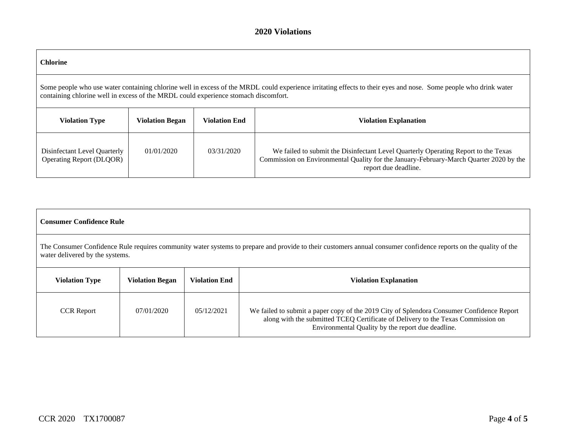#### **2020 Violations**

| <b>Chlorine</b>                                                                                                                                                                                                                                         |                        |                      |                                                                                                                                                                                                      |  |  |  |  |  |
|---------------------------------------------------------------------------------------------------------------------------------------------------------------------------------------------------------------------------------------------------------|------------------------|----------------------|------------------------------------------------------------------------------------------------------------------------------------------------------------------------------------------------------|--|--|--|--|--|
| Some people who use water containing chlorine well in excess of the MRDL could experience irritating effects to their eyes and nose. Some people who drink water<br>containing chlorine well in excess of the MRDL could experience stomach discomfort. |                        |                      |                                                                                                                                                                                                      |  |  |  |  |  |
| <b>Violation Type</b>                                                                                                                                                                                                                                   | <b>Violation Began</b> | <b>Violation End</b> | <b>Violation Explanation</b>                                                                                                                                                                         |  |  |  |  |  |
| Disinfectant Level Quarterly<br>Operating Report (DLQOR)                                                                                                                                                                                                | 01/01/2020             | 03/31/2020           | We failed to submit the Disinfectant Level Quarterly Operating Report to the Texas<br>Commission on Environmental Quality for the January-February-March Quarter 2020 by the<br>report due deadline. |  |  |  |  |  |

#### **Consumer Confidence Rule**

The Consumer Confidence Rule requires community water systems to prepare and provide to their customers annual consumer confidence reports on the quality of the water delivered by the systems.

| <b>Violation Type</b> | <b>Violation Began</b> | <b>Violation End</b> | <b>Violation Explanation</b>                                                                                                                                                                                                       |
|-----------------------|------------------------|----------------------|------------------------------------------------------------------------------------------------------------------------------------------------------------------------------------------------------------------------------------|
| <b>CCR</b> Report     | 07/01/2020             | 05/12/2021           | We failed to submit a paper copy of the 2019 City of Splendora Consumer Confidence Report<br>along with the submitted TCEQ Certificate of Delivery to the Texas Commission on<br>Environmental Quality by the report due deadline. |